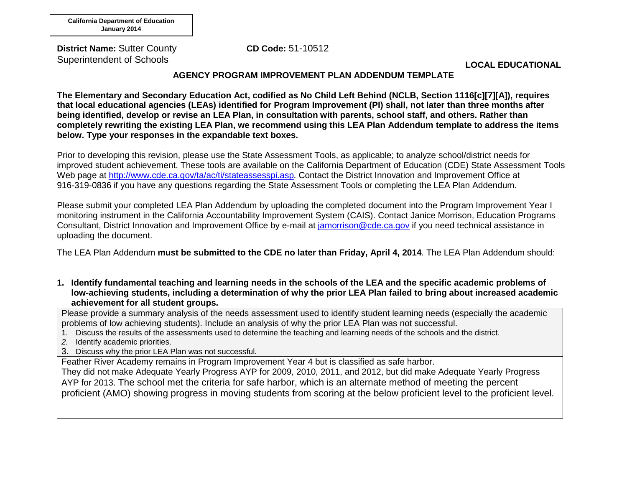**District Name:** Sutter County Superintendent of Schools

**CD Code:** 51-10512

**LOCAL EDUCATIONAL** 

### **AGENCY PROGRAM IMPROVEMENT PLAN ADDENDUM TEMPLATE**

**The Elementary and Secondary Education Act, codified as No Child Left Behind (NCLB, Section 1116[c][7][A]), requires that local educational agencies (LEAs) identified for Program Improvement (PI) shall, not later than three months after being identified, develop or revise an LEA Plan, in consultation with parents, school staff, and others. Rather than completely rewriting the existing LEA Plan, we recommend using this LEA Plan Addendum template to address the items below. Type your responses in the expandable text boxes.**

Prior to developing this revision, please use the State Assessment Tools, as applicable; to analyze school/district needs for improved student achievement. These tools are available on the California Department of Education (CDE) State Assessment Tools Web page at [http://www.cde.ca.gov/ta/ac/ti/stateassesspi.asp.](http://www.cde.ca.gov/ta/ac/ti/stateassesspi.asp) Contact the District Innovation and Improvement Office at 916-319-0836 if you have any questions regarding the State Assessment Tools or completing the LEA Plan Addendum.

Please submit your completed LEA Plan Addendum by uploading the completed document into the Program Improvement Year I monitoring instrument in the California Accountability Improvement System (CAIS). Contact Janice Morrison, Education Programs Consultant, District Innovation and Improvement Office by e-mail at [jamorrison@cde.ca.gov](mailto:jamorrison@cde.ca.gov) if you need technical assistance in uploading the document.

The LEA Plan Addendum **must be submitted to the CDE no later than Friday, April 4, 2014**. The LEA Plan Addendum should:

**1. Identify fundamental teaching and learning needs in the schools of the LEA and the specific academic problems of low-achieving students, including a determination of why the prior LEA Plan failed to bring about increased academic achievement for all student groups.**

Please provide a summary analysis of the needs assessment used to identify student learning needs (especially the academic problems of low achieving students). Include an analysis of why the prior LEA Plan was not successful.

- 1. Discuss the results of the assessments used to determine the teaching and learning needs of the schools and the district.
- *2.* Identify academic priorities.
- 3. Discuss why the prior LEA Plan was not successful.

Feather River Academy remains in Program Improvement Year 4 but is classified as safe harbor.

They did not make Adequate Yearly Progress AYP for 2009, 2010, 2011, and 2012, but did make Adequate Yearly Progress AYP for 2013. The school met the criteria for safe harbor, which is an alternate method of meeting the percent proficient (AMO) showing progress in moving students from scoring at the below proficient level to the proficient level.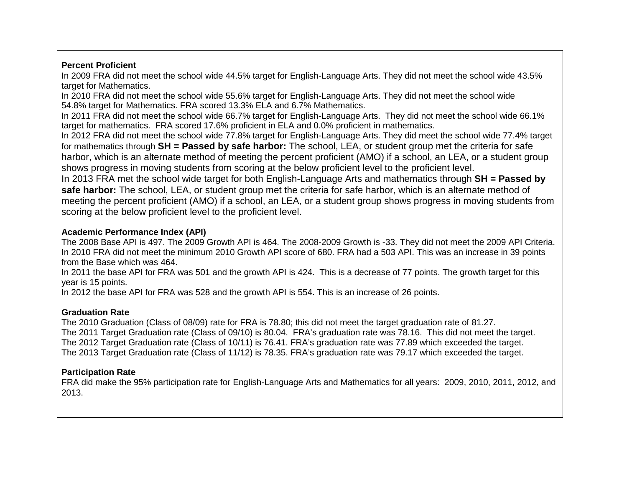## **Percent Proficient**

In 2009 FRA did not meet the school wide 44.5% target for English-Language Arts. They did not meet the school wide 43.5% target for Mathematics.

In 2010 FRA did not meet the school wide 55.6% target for English-Language Arts. They did not meet the school wide 54.8% target for Mathematics. FRA scored 13.3% ELA and 6.7% Mathematics.

In 2011 FRA did not meet the school wide 66.7% target for English-Language Arts. They did not meet the school wide 66.1% target for mathematics. FRA scored 17.6% proficient in ELA and 0.0% proficient in mathematics.

In 2012 FRA did not meet the school wide 77.8% target for English-Language Arts. They did meet the school wide 77.4% target for mathematics through **SH = Passed by safe harbor:** The school, LEA, or student group met the criteria for safe harbor, which is an alternate method of meeting the percent proficient (AMO) if a school, an LEA, or a student group shows progress in moving students from scoring at the below proficient level to the proficient level.

In 2013 FRA met the school wide target for both English-Language Arts and mathematics through **SH = Passed by safe harbor:** The school, LEA, or student group met the criteria for safe harbor, which is an alternate method of meeting the percent proficient (AMO) if a school, an LEA, or a student group shows progress in moving students from scoring at the below proficient level to the proficient level.

# **Academic Performance Index (API)**

The 2008 Base API is 497. The 2009 Growth API is 464. The 2008-2009 Growth is -33. They did not meet the 2009 API Criteria. In 2010 FRA did not meet the minimum 2010 Growth API score of 680. FRA had a 503 API. This was an increase in 39 points from the Base which was 464.

In 2011 the base API for FRA was 501 and the growth API is 424. This is a decrease of 77 points. The growth target for this year is 15 points.

In 2012 the base API for FRA was 528 and the growth API is 554. This is an increase of 26 points.

# **Graduation Rate**

The 2010 Graduation (Class of 08/09) rate for FRA is 78.80; this did not meet the target graduation rate of 81.27. The 2011 Target Graduation rate (Class of 09/10) is 80.04. FRA's graduation rate was 78.16. This did not meet the target. The 2012 Target Graduation rate (Class of 10/11) is 76.41. FRA's graduation rate was 77.89 which exceeded the target. The 2013 Target Graduation rate (Class of 11/12) is 78.35. FRA's graduation rate was 79.17 which exceeded the target.

# **Participation Rate**

FRA did make the 95% participation rate for English-Language Arts and Mathematics for all years: 2009, 2010, 2011, 2012, and 2013.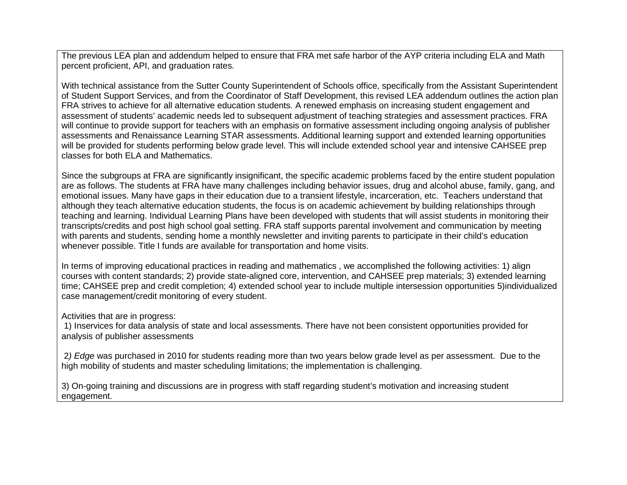The previous LEA plan and addendum helped to ensure that FRA met safe harbor of the AYP criteria including ELA and Math percent proficient, API, and graduation rates.

With technical assistance from the Sutter County Superintendent of Schools office, specifically from the Assistant Superintendent of Student Support Services, and from the Coordinator of Staff Development, this revised LEA addendum outlines the action plan FRA strives to achieve for all alternative education students. A renewed emphasis on increasing student engagement and assessment of students' academic needs led to subsequent adjustment of teaching strategies and assessment practices. FRA will continue to provide support for teachers with an emphasis on formative assessment including ongoing analysis of publisher assessments and Renaissance Learning STAR assessments. Additional learning support and extended learning opportunities will be provided for students performing below grade level. This will include extended school year and intensive CAHSEE prep classes for both ELA and Mathematics.

Since the subgroups at FRA are significantly insignificant, the specific academic problems faced by the entire student population are as follows. The students at FRA have many challenges including behavior issues, drug and alcohol abuse, family, gang, and emotional issues. Many have gaps in their education due to a transient lifestyle, incarceration, etc. Teachers understand that although they teach alternative education students, the focus is on academic achievement by building relationships through teaching and learning. Individual Learning Plans have been developed with students that will assist students in monitoring their transcripts/credits and post high school goal setting. FRA staff supports parental involvement and communication by meeting with parents and students, sending home a monthly newsletter and inviting parents to participate in their child's education whenever possible. Title I funds are available for transportation and home visits.

In terms of improving educational practices in reading and mathematics , we accomplished the following activities: 1) align courses with content standards; 2) provide state-aligned core, intervention, and CAHSEE prep materials; 3) extended learning time; CAHSEE prep and credit completion; 4) extended school year to include multiple intersession opportunities 5)individualized case management/credit monitoring of every student.

Activities that are in progress:

1) Inservices for data analysis of state and local assessments. There have not been consistent opportunities provided for analysis of publisher assessments

2*) Edge* was purchased in 2010 for students reading more than two years below grade level as per assessment. Due to the high mobility of students and master scheduling limitations; the implementation is challenging.

3) On-going training and discussions are in progress with staff regarding student's motivation and increasing student engagement.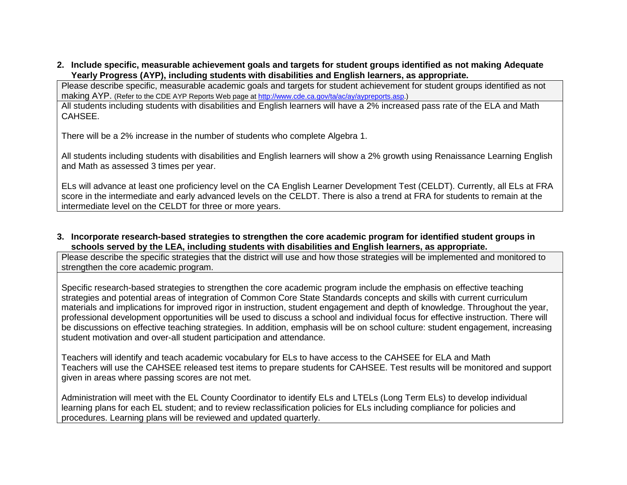#### **2. Include specific, measurable achievement goals and targets for student groups identified as not making Adequate Yearly Progress (AYP), including students with disabilities and English learners, as appropriate.**

Please describe specific, measurable academic goals and targets for student achievement for student groups identified as not making AYP. (Refer to the CDE AYP Reports Web page at [http://www.cde.ca.gov/ta/ac/ay/aypreports.asp.\)](http://www.cde.ca.gov/ta/ac/ay/aypreports.asp)

All students including students with disabilities and English learners will have a 2% increased pass rate of the ELA and Math CAHSEE.

There will be a 2% increase in the number of students who complete Algebra 1.

All students including students with disabilities and English learners will show a 2% growth using Renaissance Learning English and Math as assessed 3 times per year.

ELs will advance at least one proficiency level on the CA English Learner Development Test (CELDT). Currently, all ELs at FRA score in the intermediate and early advanced levels on the CELDT. There is also a trend at FRA for students to remain at the intermediate level on the CELDT for three or more years.

**3. Incorporate research-based strategies to strengthen the core academic program for identified student groups in schools served by the LEA, including students with disabilities and English learners, as appropriate.**

Please describe the specific strategies that the district will use and how those strategies will be implemented and monitored to strengthen the core academic program.

Specific research-based strategies to strengthen the core academic program include the emphasis on effective teaching strategies and potential areas of integration of Common Core State Standards concepts and skills with current curriculum materials and implications for improved rigor in instruction, student engagement and depth of knowledge. Throughout the year, professional development opportunities will be used to discuss a school and individual focus for effective instruction. There will be discussions on effective teaching strategies. In addition, emphasis will be on school culture: student engagement, increasing student motivation and over-all student participation and attendance.

Teachers will identify and teach academic vocabulary for ELs to have access to the CAHSEE for ELA and Math Teachers will use the CAHSEE released test items to prepare students for CAHSEE. Test results will be monitored and support given in areas where passing scores are not met.

Administration will meet with the EL County Coordinator to identify ELs and LTELs (Long Term ELs) to develop individual learning plans for each EL student; and to review reclassification policies for ELs including compliance for policies and procedures. Learning plans will be reviewed and updated quarterly.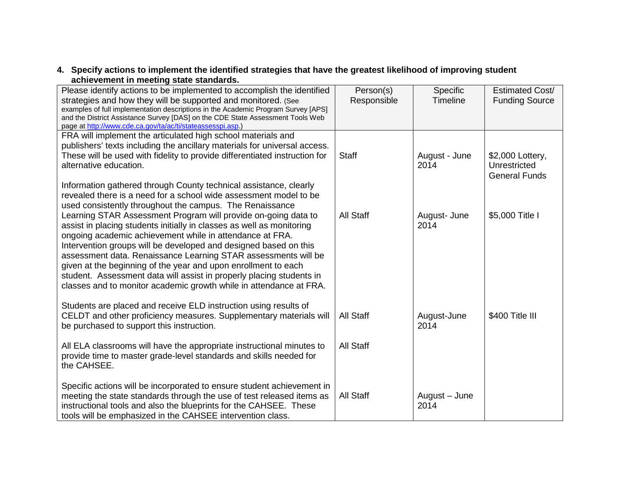### **4. Specify actions to implement the identified strategies that have the greatest likelihood of improving student achievement in meeting state standards.**

| Please identify actions to be implemented to accomplish the identified                                                                             | Person(s)        | Specific              | Estimated Cost/                  |
|----------------------------------------------------------------------------------------------------------------------------------------------------|------------------|-----------------------|----------------------------------|
| strategies and how they will be supported and monitored. (See<br>examples of full implementation descriptions in the Academic Program Survey [APS] | Responsible      | Timeline              | <b>Funding Source</b>            |
| and the District Assistance Survey [DAS] on the CDE State Assessment Tools Web                                                                     |                  |                       |                                  |
| page at http://www.cde.ca.gov/ta/ac/ti/stateassesspi.asp.)                                                                                         |                  |                       |                                  |
| FRA will implement the articulated high school materials and                                                                                       |                  |                       |                                  |
| publishers' texts including the ancillary materials for universal access.                                                                          |                  |                       |                                  |
| These will be used with fidelity to provide differentiated instruction for<br>alternative education.                                               | <b>Staff</b>     | August - June<br>2014 | \$2,000 Lottery,<br>Unrestricted |
|                                                                                                                                                    |                  |                       | <b>General Funds</b>             |
| Information gathered through County technical assistance, clearly                                                                                  |                  |                       |                                  |
| revealed there is a need for a school wide assessment model to be                                                                                  |                  |                       |                                  |
| used consistently throughout the campus. The Renaissance                                                                                           |                  |                       |                                  |
| Learning STAR Assessment Program will provide on-going data to                                                                                     | <b>All Staff</b> | August- June          | \$5,000 Title I                  |
| assist in placing students initially in classes as well as monitoring                                                                              |                  | 2014                  |                                  |
| ongoing academic achievement while in attendance at FRA.                                                                                           |                  |                       |                                  |
| Intervention groups will be developed and designed based on this                                                                                   |                  |                       |                                  |
| assessment data. Renaissance Learning STAR assessments will be                                                                                     |                  |                       |                                  |
| given at the beginning of the year and upon enrollment to each                                                                                     |                  |                       |                                  |
| student. Assessment data will assist in properly placing students in<br>classes and to monitor academic growth while in attendance at FRA.         |                  |                       |                                  |
|                                                                                                                                                    |                  |                       |                                  |
| Students are placed and receive ELD instruction using results of                                                                                   |                  |                       |                                  |
| CELDT and other proficiency measures. Supplementary materials will                                                                                 | <b>All Staff</b> | August-June           | \$400 Title III                  |
| be purchased to support this instruction.                                                                                                          |                  | 2014                  |                                  |
|                                                                                                                                                    |                  |                       |                                  |
| All ELA classrooms will have the appropriate instructional minutes to                                                                              | All Staff        |                       |                                  |
| provide time to master grade-level standards and skills needed for                                                                                 |                  |                       |                                  |
| the CAHSEE.                                                                                                                                        |                  |                       |                                  |
|                                                                                                                                                    |                  |                       |                                  |
| Specific actions will be incorporated to ensure student achievement in                                                                             | <b>All Staff</b> |                       |                                  |
| meeting the state standards through the use of test released items as<br>instructional tools and also the blueprints for the CAHSEE. These         |                  | August - June<br>2014 |                                  |
| tools will be emphasized in the CAHSEE intervention class.                                                                                         |                  |                       |                                  |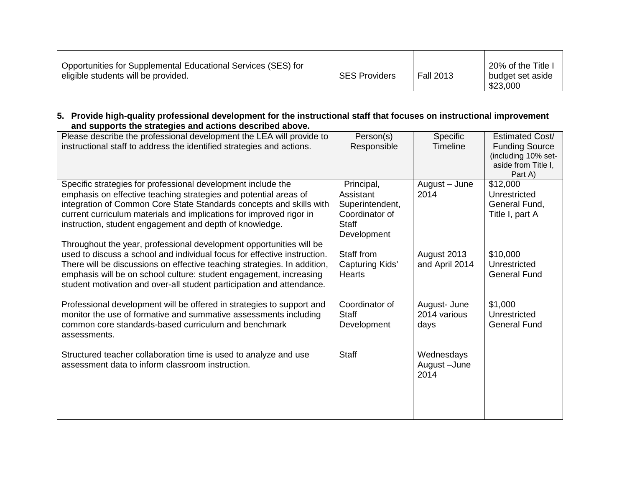| Opportunities for Supplemental Educational Services (SES) for<br>eligible students will be provided. | <b>SES Providers</b> | <b>Fall 2013</b> | 20% of the Title I<br>budget set aside<br>\$23,000 |
|------------------------------------------------------------------------------------------------------|----------------------|------------------|----------------------------------------------------|
|------------------------------------------------------------------------------------------------------|----------------------|------------------|----------------------------------------------------|

**5. Provide high-quality professional development for the instructional staff that focuses on instructional improvement and supports the strategies and actions described above.**

| Please describe the professional development the LEA will provide to<br>instructional staff to address the identified strategies and actions.                                                                                                                                                                                                                              | Person(s)<br>Responsible                                                                    | Specific<br>Timeline                 | Estimated Cost/<br><b>Funding Source</b><br>(including 10% set-<br>aside from Title I.<br>Part A) |
|----------------------------------------------------------------------------------------------------------------------------------------------------------------------------------------------------------------------------------------------------------------------------------------------------------------------------------------------------------------------------|---------------------------------------------------------------------------------------------|--------------------------------------|---------------------------------------------------------------------------------------------------|
| Specific strategies for professional development include the<br>emphasis on effective teaching strategies and potential areas of<br>integration of Common Core State Standards concepts and skills with<br>current curriculum materials and implications for improved rigor in<br>instruction, student engagement and depth of knowledge.                                  | Principal,<br>Assistant<br>Superintendent,<br>Coordinator of<br><b>Staff</b><br>Development | August - June<br>2014                | \$12,000<br>Unrestricted<br>General Fund,<br>Title I, part A                                      |
| Throughout the year, professional development opportunities will be<br>used to discuss a school and individual focus for effective instruction.<br>There will be discussions on effective teaching strategies. In addition,<br>emphasis will be on school culture: student engagement, increasing<br>student motivation and over-all student participation and attendance. | Staff from<br>Capturing Kids'<br>Hearts                                                     | August 2013<br>and April 2014        | \$10,000<br>Unrestricted<br><b>General Fund</b>                                                   |
| Professional development will be offered in strategies to support and<br>monitor the use of formative and summative assessments including<br>common core standards-based curriculum and benchmark<br>assessments.                                                                                                                                                          | Coordinator of<br><b>Staff</b><br>Development                                               | August- June<br>2014 various<br>days | \$1,000<br>Unrestricted<br><b>General Fund</b>                                                    |
| Structured teacher collaboration time is used to analyze and use<br>assessment data to inform classroom instruction.                                                                                                                                                                                                                                                       | <b>Staff</b>                                                                                | Wednesdays<br>August-June<br>2014    |                                                                                                   |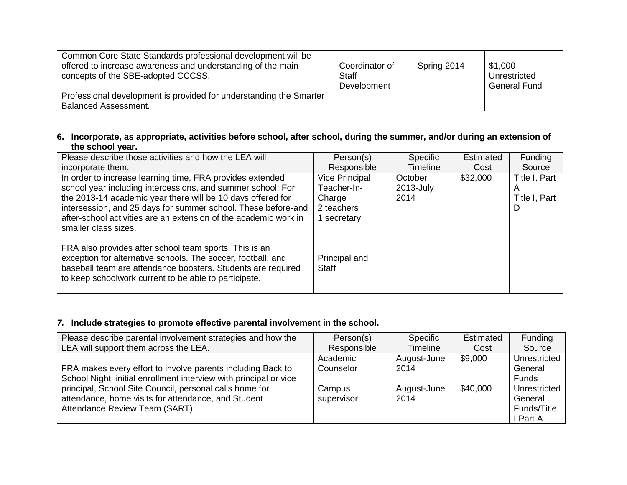| Common Core State Standards professional development will be                                      | Coordinator of | Spring 2014 | \$1,000             |
|---------------------------------------------------------------------------------------------------|----------------|-------------|---------------------|
| offered to increase awareness and understanding of the main                                       | Staff          |             | Unrestricted        |
| concepts of the SBE-adopted CCCSS.                                                                | Development    |             | <b>General Fund</b> |
| Professional development is provided for understanding the Smarter<br><b>Balanced Assessment.</b> |                |             |                     |

#### **6. Incorporate, as appropriate, activities before school, after school, during the summer, and/or during an extension of the school year.**

| Please describe those activities and how the LEA will                                                                                                                                                                                                                                                                        | Person(s)                                                                   | Specific                     | Estimated | Funding                             |
|------------------------------------------------------------------------------------------------------------------------------------------------------------------------------------------------------------------------------------------------------------------------------------------------------------------------------|-----------------------------------------------------------------------------|------------------------------|-----------|-------------------------------------|
| incorporate them.                                                                                                                                                                                                                                                                                                            | Responsible                                                                 | Timeline                     | Cost      | Source                              |
| In order to increase learning time, FRA provides extended<br>school year including intercessions, and summer school. For<br>the 2013-14 academic year there will be 10 days offered for<br>intersession, and 25 days for summer school. These before-and<br>after-school activities are an extension of the academic work in | <b>Vice Principal</b><br>Teacher-In-<br>Charge<br>2 teachers<br>1 secretary | October<br>2013-July<br>2014 | \$32,000  | Title I, Part<br>Title I, Part<br>D |
| smaller class sizes.<br>FRA also provides after school team sports. This is an<br>exception for alternative schools. The soccer, football, and<br>baseball team are attendance boosters. Students are required<br>to keep schoolwork current to be able to participate.                                                      | Principal and<br><b>Staff</b>                                               |                              |           |                                     |

# *7.* **Include strategies to promote effective parental involvement in the school.**

| Please describe parental involvement strategies and how the       | Person(s)   | Specific        | Estimated | Funding      |
|-------------------------------------------------------------------|-------------|-----------------|-----------|--------------|
| LEA will support them across the LEA.                             | Responsible | <b>Timeline</b> | Cost      | Source       |
|                                                                   | Academic    | August-June     | \$9,000   | Unrestricted |
| FRA makes every effort to involve parents including Back to       | Counselor   | 2014            |           | General      |
| School Night, initial enrollment interview with principal or vice |             |                 |           | Funds        |
| principal, School Site Council, personal calls home for           | Campus      | August-June     | \$40,000  | Unrestricted |
| attendance, home visits for attendance, and Student               | supervisor  | 2014            |           | General      |
| Attendance Review Team (SART).                                    |             |                 |           | Funds/Title  |
|                                                                   |             |                 |           | I Part A     |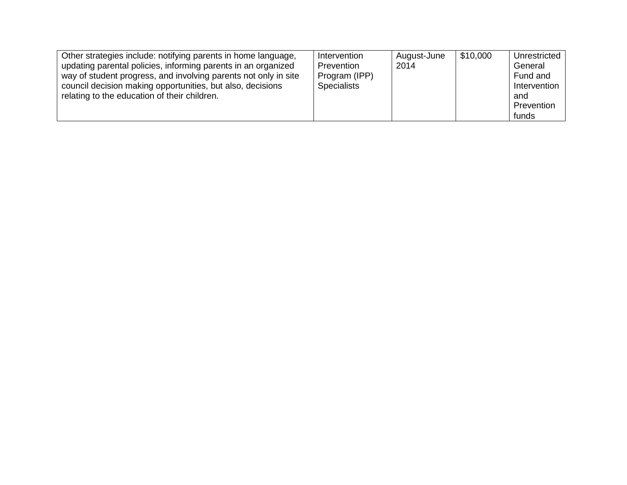| Other strategies include: notifying parents in home language,<br>updating parental policies, informing parents in an organized<br>way of student progress, and involving parents not only in site<br>council decision making opportunities, but also, decisions<br>relating to the education of their children. | Intervention<br>Prevention<br>Program (IPP)<br><b>Specialists</b> | August-June<br>2014 | \$10,000 | Unrestricted  <br>General<br>Fund and<br>Intervention<br>and<br>Prevention<br>funds |
|-----------------------------------------------------------------------------------------------------------------------------------------------------------------------------------------------------------------------------------------------------------------------------------------------------------------|-------------------------------------------------------------------|---------------------|----------|-------------------------------------------------------------------------------------|
|-----------------------------------------------------------------------------------------------------------------------------------------------------------------------------------------------------------------------------------------------------------------------------------------------------------------|-------------------------------------------------------------------|---------------------|----------|-------------------------------------------------------------------------------------|